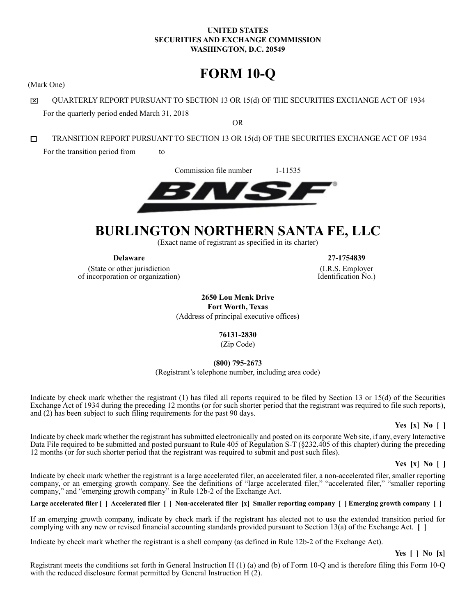# **UNITED STATES SECURITIES AND EXCHANGE COMMISSION WASHINGTON, D.C. 20549**

# **FORM 10-Q**

(Mark One)

QUARTERLY REPORT PURSUANT TO SECTION 13 OR 15(d) OF THE SECURITIES EXCHANGE ACT OF 1934 区 For the quarterly period ended March 31, 2018

OR

 $\Box$ TRANSITION REPORT PURSUANT TO SECTION 13 OR 15(d) OF THE SECURITIES EXCHANGE ACT OF 1934 For the transition period from to

Commission file number 1-11535



# **BURLINGTON NORTHERN SANTA FE, LLC**

(Exact name of registrant as specified in its charter)

(State or other jurisdiction of incorporation or organization)

**Delaware 27-1754839**

(I.R.S. Employer Identification No.)

**2650 Lou Menk Drive Fort Worth, Texas**

(Address of principal executive offices)

**76131-2830**

(Zip Code)

**(800) 795-2673**

(Registrant's telephone number, including area code)

Indicate by check mark whether the registrant (1) has filed all reports required to be filed by Section 13 or 15(d) of the Securities Exchange Act of 1934 during the preceding 12 months (or for such shorter period that the registrant was required to file such reports), and (2) has been subject to such filing requirements for the past 90 days.

## **Yes [x] No [ ]**

Indicate by check mark whether the registrant has submitted electronically and posted on its corporate Web site, if any, every Interactive Data File required to be submitted and posted pursuant to Rule 405 of Regulation S-T (§232.405 of this chapter) during the preceding 12 months (or for such shorter period that the registrant was required to submit and post such files).

**Yes [x] No [ ]**

Indicate by check mark whether the registrant is a large accelerated filer, an accelerated filer, a non-accelerated filer, smaller reporting company, or an emerging growth company. See the definitions of "large accelerated filer," "accelerated filer," "smaller reporting company," and "emerging growth company" in Rule 12b-2 of the Exchange Act.

**Large accelerated filer [ ] Accelerated filer [ ] Non-accelerated filer [x] Smaller reporting company [ ] Emerging growth company [ ]**

If an emerging growth company, indicate by check mark if the registrant has elected not to use the extended transition period for complying with any new or revised financial accounting standards provided pursuant to Section 13(a) of the Exchange Act. **[ ]**

Indicate by check mark whether the registrant is a shell company (as defined in Rule 12b-2 of the Exchange Act).

**Yes [ ] No [x]**

Registrant meets the conditions set forth in General Instruction H (1) (a) and (b) of Form 10-Q and is therefore filing this Form 10-Q with the reduced disclosure format permitted by General Instruction H  $(2)$ .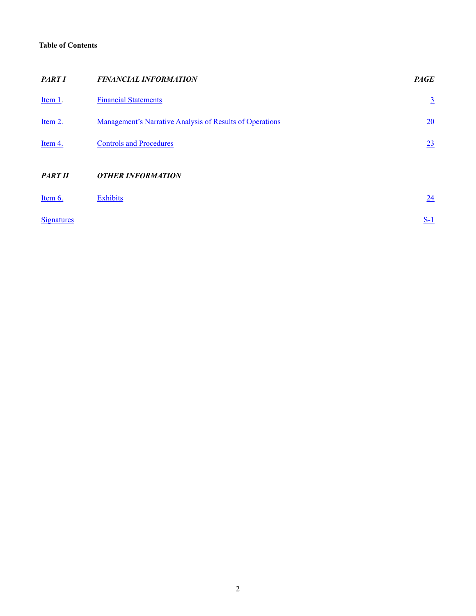# <span id="page-1-0"></span>**Table of Contents**

| <b>PART I</b>     | <b>FINANCIAL INFORMATION</b>                             | <b>PAGE</b>     |
|-------------------|----------------------------------------------------------|-----------------|
| Item 1.           | <b>Financial Statements</b>                              | $\underline{3}$ |
| Item 2.           | Management's Narrative Analysis of Results of Operations | 20              |
| Item 4.           | <b>Controls and Procedures</b>                           | 23              |
| <b>PART II</b>    | <b>OTHER INFORMATION</b>                                 |                 |
| Item 6.           | <b>Exhibits</b>                                          | 24              |
| <b>Signatures</b> |                                                          | $S-1$           |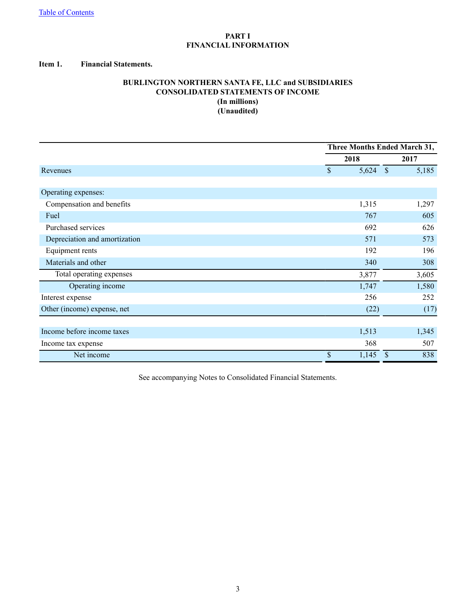# **PART I FINANCIAL INFORMATION**

## <span id="page-2-0"></span>**Item 1. Financial Statements.**

# **BURLINGTON NORTHERN SANTA FE, LLC and SUBSIDIARIES CONSOLIDATED STATEMENTS OF INCOME (In millions) (Unaudited)**

|                               |                       | Three Months Ended March 31, |  |  |  |  |
|-------------------------------|-----------------------|------------------------------|--|--|--|--|
|                               | 2018                  | 2017                         |  |  |  |  |
| Revenues                      | $\mathbb{S}$<br>5,624 | $\mathcal{S}$<br>5,185       |  |  |  |  |
|                               |                       |                              |  |  |  |  |
| Operating expenses:           |                       |                              |  |  |  |  |
| Compensation and benefits     | 1,315                 | 1,297                        |  |  |  |  |
| Fuel                          | 767                   | 605                          |  |  |  |  |
| Purchased services            | 692                   | 626                          |  |  |  |  |
| Depreciation and amortization | 571                   | 573                          |  |  |  |  |
| Equipment rents               | 192                   | 196                          |  |  |  |  |
| Materials and other           | 340                   | 308                          |  |  |  |  |
| Total operating expenses      | 3,877                 | 3,605                        |  |  |  |  |
| Operating income              | 1,747                 | 1,580                        |  |  |  |  |
| Interest expense              | 256                   | 252                          |  |  |  |  |
| Other (income) expense, net   | (22)                  | (17)                         |  |  |  |  |
|                               |                       |                              |  |  |  |  |
| Income before income taxes    | 1,513                 | 1,345                        |  |  |  |  |
| Income tax expense            | 368                   | 507                          |  |  |  |  |
| Net income                    | \$<br>1,145           | <sup>\$</sup><br>838         |  |  |  |  |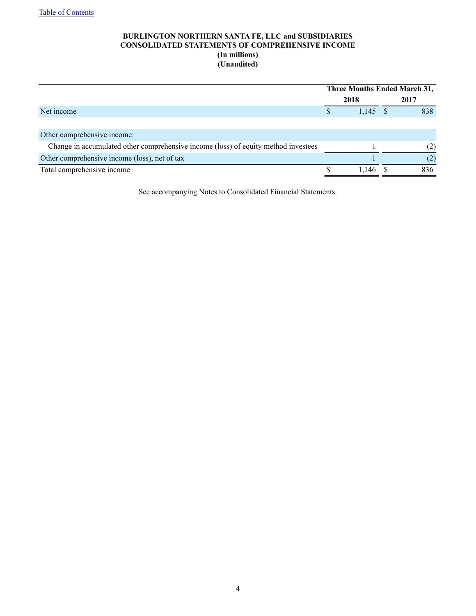# **BURLINGTON NORTHERN SANTA FE, LLC and SUBSIDIARIES CONSOLIDATED STATEMENTS OF COMPREHENSIVE INCOME (In millions) (Unaudited)**

|                                                                                    | <b>Three Months Ended March 31,</b> |            |  |      |  |
|------------------------------------------------------------------------------------|-------------------------------------|------------|--|------|--|
|                                                                                    |                                     | 2018       |  | 2017 |  |
| Net income                                                                         |                                     | $1,145$ \$ |  | 838  |  |
|                                                                                    |                                     |            |  |      |  |
| Other comprehensive income:                                                        |                                     |            |  |      |  |
| Change in accumulated other comprehensive income (loss) of equity method investees |                                     |            |  | (2)  |  |
| Other comprehensive income (loss), net of tax                                      |                                     |            |  | (2)  |  |
| Total comprehensive income                                                         |                                     | 1,146      |  | 836  |  |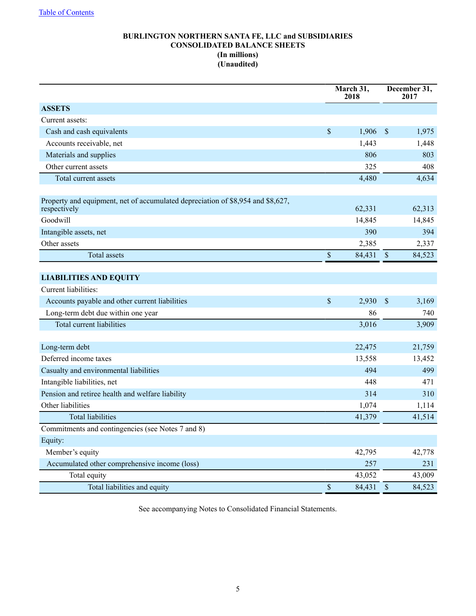# **BURLINGTON NORTHERN SANTA FE, LLC and SUBSIDIARIES CONSOLIDATED BALANCE SHEETS (In millions) (Unaudited)**

|                                                                                                 |             | March 31,<br>2018 |                           | December 31,<br>2017 |
|-------------------------------------------------------------------------------------------------|-------------|-------------------|---------------------------|----------------------|
| <b>ASSETS</b>                                                                                   |             |                   |                           |                      |
| Current assets:                                                                                 |             |                   |                           |                      |
| Cash and cash equivalents                                                                       | \$          | 1,906             | $\boldsymbol{\mathsf{S}}$ | 1,975                |
| Accounts receivable, net                                                                        |             | 1,443             |                           | 1,448                |
| Materials and supplies                                                                          |             | 806               |                           | 803                  |
| Other current assets                                                                            |             | 325               |                           | 408                  |
| Total current assets                                                                            |             | 4,480             |                           | 4,634                |
|                                                                                                 |             |                   |                           |                      |
| Property and equipment, net of accumulated depreciation of \$8,954 and \$8,627,<br>respectively |             | 62,331            |                           | 62,313               |
| Goodwill                                                                                        |             | 14,845            |                           | 14,845               |
| Intangible assets, net                                                                          |             | 390               |                           | 394                  |
| Other assets                                                                                    |             | 2,385             |                           | 2,337                |
| Total assets                                                                                    | \$          | 84,431            | $\mathcal{S}$             | 84,523               |
|                                                                                                 |             |                   |                           |                      |
| <b>LIABILITIES AND EQUITY</b>                                                                   |             |                   |                           |                      |
| Current liabilities:                                                                            |             |                   |                           |                      |
| Accounts payable and other current liabilities                                                  | \$          | 2,930             | $\mathsf{\$}$             | 3,169                |
| Long-term debt due within one year                                                              |             | 86                |                           | 740                  |
| Total current liabilities                                                                       |             | 3,016             |                           | 3,909                |
|                                                                                                 |             |                   |                           |                      |
| Long-term debt                                                                                  |             | 22,475            |                           | 21,759               |
| Deferred income taxes                                                                           |             | 13,558            |                           | 13,452               |
| Casualty and environmental liabilities                                                          |             | 494               |                           | 499                  |
| Intangible liabilities, net                                                                     |             | 448               |                           | 471                  |
| Pension and retiree health and welfare liability                                                |             | 314               |                           | 310                  |
| Other liabilities                                                                               |             | 1,074             |                           | 1,114                |
| <b>Total liabilities</b>                                                                        |             | 41,379            |                           | 41,514               |
| Commitments and contingencies (see Notes 7 and 8)                                               |             |                   |                           |                      |
| Equity:                                                                                         |             |                   |                           |                      |
| Member's equity                                                                                 |             | 42,795            |                           | 42,778               |
| Accumulated other comprehensive income (loss)                                                   |             | 257               |                           | 231                  |
| Total equity                                                                                    |             | 43,052            |                           | 43,009               |
| Total liabilities and equity                                                                    | $\mathbb S$ | 84,431            | $\mathsf{\$}$             | 84,523               |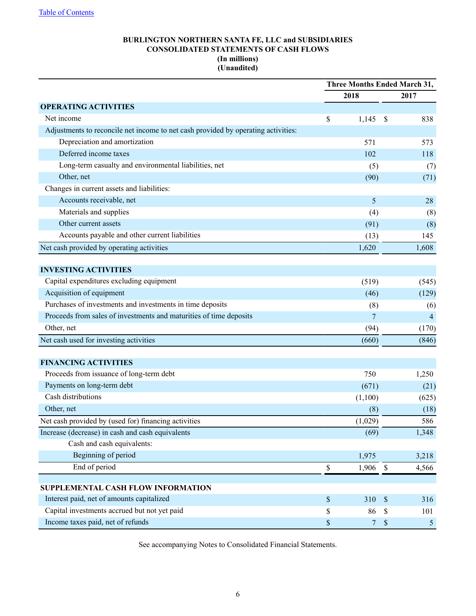# **BURLINGTON NORTHERN SANTA FE, LLC and SUBSIDIARIES CONSOLIDATED STATEMENTS OF CASH FLOWS (In millions) (Unaudited)**

|                                                                                   | <b>Three Months Ended March 31,</b> |                  |                           |                |  |
|-----------------------------------------------------------------------------------|-------------------------------------|------------------|---------------------------|----------------|--|
|                                                                                   |                                     | 2018             | 2017                      |                |  |
| <b>OPERATING ACTIVITIES</b>                                                       |                                     |                  |                           |                |  |
| Net income                                                                        | \$                                  | 1,145            | $\boldsymbol{\mathsf{S}}$ | 838            |  |
| Adjustments to reconcile net income to net cash provided by operating activities: |                                     |                  |                           |                |  |
| Depreciation and amortization                                                     |                                     | 571              |                           | 573            |  |
| Deferred income taxes                                                             |                                     | 102              |                           | 118            |  |
| Long-term casualty and environmental liabilities, net                             |                                     | (5)              |                           | (7)            |  |
| Other, net                                                                        |                                     | (90)             |                           | (71)           |  |
| Changes in current assets and liabilities:                                        |                                     |                  |                           |                |  |
| Accounts receivable, net                                                          |                                     | 5                |                           | 28             |  |
| Materials and supplies                                                            |                                     | (4)              |                           | (8)            |  |
| Other current assets                                                              |                                     | (91)             |                           | (8)            |  |
| Accounts payable and other current liabilities                                    |                                     | (13)             |                           | 145            |  |
| Net cash provided by operating activities                                         |                                     | 1,620            |                           | 1,608          |  |
|                                                                                   |                                     |                  |                           |                |  |
| <b>INVESTING ACTIVITIES</b>                                                       |                                     |                  |                           |                |  |
| Capital expenditures excluding equipment                                          |                                     | (519)            |                           | (545)          |  |
| Acquisition of equipment                                                          |                                     | (46)             |                           | (129)          |  |
| Purchases of investments and investments in time deposits                         |                                     | (8)              |                           | (6)            |  |
| Proceeds from sales of investments and maturities of time deposits                |                                     | $\overline{7}$   |                           | $\overline{4}$ |  |
| Other, net                                                                        |                                     | (94)             |                           | (170)          |  |
| Net cash used for investing activities                                            |                                     | (660)            |                           | (846)          |  |
| <b>FINANCING ACTIVITIES</b>                                                       |                                     |                  |                           |                |  |
| Proceeds from issuance of long-term debt                                          |                                     | 750              |                           |                |  |
| Payments on long-term debt                                                        |                                     |                  |                           | 1,250          |  |
| Cash distributions                                                                |                                     | (671)<br>(1,100) |                           | (21)           |  |
| Other, net                                                                        |                                     |                  |                           | (625)          |  |
| Net cash provided by (used for) financing activities                              |                                     | (8)<br>(1,029)   |                           | (18)<br>586    |  |
| Increase (decrease) in cash and cash equivalents                                  |                                     | (69)             |                           | 1,348          |  |
| Cash and cash equivalents:                                                        |                                     |                  |                           |                |  |
| Beginning of period                                                               |                                     | 1,975            |                           | 3,218          |  |
| End of period                                                                     | \$                                  | 1,906            | $\mathbb{S}$              | 4,566          |  |
|                                                                                   |                                     |                  |                           |                |  |
| SUPPLEMENTAL CASH FLOW INFORMATION                                                |                                     |                  |                           |                |  |
| Interest paid, net of amounts capitalized                                         | $\mathbb{S}$                        | 310              | $\mathbb{S}$              | 316            |  |
| Capital investments accrued but not yet paid                                      | \$                                  | 86               | $\boldsymbol{\mathsf{S}}$ | 101            |  |
| Income taxes paid, net of refunds                                                 | \$                                  | 7 <sup>7</sup>   | $\mathbb S$               | $\mathfrak{S}$ |  |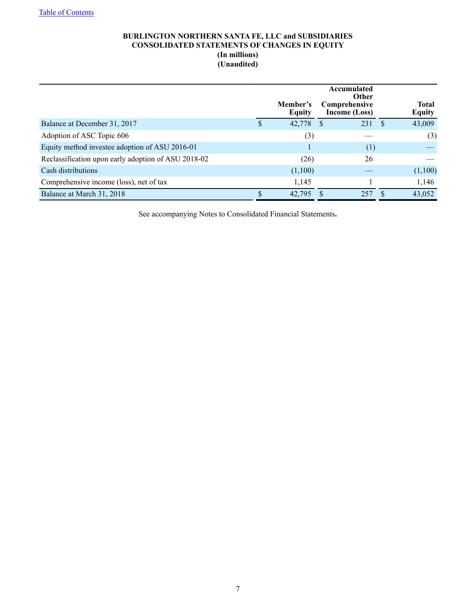# **BURLINGTON NORTHERN SANTA FE, LLC and SUBSIDIARIES CONSOLIDATED STATEMENTS OF CHANGES IN EQUITY (In millions) (Unaudited)**

|                                                     | Member's<br><b>Equity</b> | Accumulated<br><b>Other</b><br>Comprehensive<br>Income (Loss) |    | <b>Total</b><br><b>Equity</b> |
|-----------------------------------------------------|---------------------------|---------------------------------------------------------------|----|-------------------------------|
| Balance at December 31, 2017                        | 42,778                    | 231                                                           | -S | 43,009                        |
| Adoption of ASC Topic 606                           | (3)                       |                                                               |    | (3)                           |
| Equity method investee adoption of ASU 2016-01      |                           | (1)                                                           |    |                               |
| Reclassification upon early adoption of ASU 2018-02 | (26)                      | 26                                                            |    |                               |
| Cash distributions                                  | (1,100)                   |                                                               |    | (1,100)                       |
| Comprehensive income (loss), net of tax             | 1,145                     |                                                               |    | 1,146                         |
| Balance at March 31, 2018                           | 42,795                    | 257                                                           |    | 43,052                        |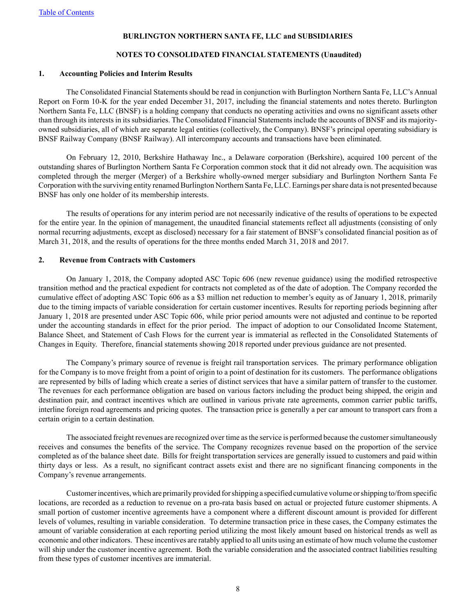#### **NOTES TO CONSOLIDATED FINANCIAL STATEMENTS (Unaudited)**

#### **1. Accounting Policies and Interim Results**

The Consolidated Financial Statements should be read in conjunction with Burlington Northern Santa Fe, LLC's Annual Report on Form 10-K for the year ended December 31, 2017, including the financial statements and notes thereto. Burlington Northern Santa Fe, LLC (BNSF) is a holding company that conducts no operating activities and owns no significant assets other than through its interests in its subsidiaries. The Consolidated Financial Statements include the accounts of BNSF and its majorityowned subsidiaries, all of which are separate legal entities (collectively, the Company). BNSF's principal operating subsidiary is BNSF Railway Company (BNSF Railway). All intercompany accounts and transactions have been eliminated.

On February 12, 2010, Berkshire Hathaway Inc., a Delaware corporation (Berkshire), acquired 100 percent of the outstanding shares of Burlington Northern Santa Fe Corporation common stock that it did not already own. The acquisition was completed through the merger (Merger) of a Berkshire wholly-owned merger subsidiary and Burlington Northern Santa Fe Corporation with the surviving entity renamed Burlington Northern Santa Fe, LLC. Earnings per share data is not presented because BNSF has only one holder of its membership interests.

The results of operations for any interim period are not necessarily indicative of the results of operations to be expected for the entire year. In the opinion of management, the unaudited financial statements reflect all adjustments (consisting of only normal recurring adjustments, except as disclosed) necessary for a fair statement of BNSF's consolidated financial position as of March 31, 2018, and the results of operations for the three months ended March 31, 2018 and 2017.

#### **2. Revenue from Contracts with Customers**

On January 1, 2018, the Company adopted ASC Topic 606 (new revenue guidance) using the modified retrospective transition method and the practical expedient for contracts not completed as of the date of adoption. The Company recorded the cumulative effect of adopting ASC Topic 606 as a \$3 million net reduction to member's equity as of January 1, 2018, primarily due to the timing impacts of variable consideration for certain customer incentives. Results for reporting periods beginning after January 1, 2018 are presented under ASC Topic 606, while prior period amounts were not adjusted and continue to be reported under the accounting standards in effect for the prior period. The impact of adoption to our Consolidated Income Statement, Balance Sheet, and Statement of Cash Flows for the current year is immaterial as reflected in the Consolidated Statements of Changes in Equity. Therefore, financial statements showing 2018 reported under previous guidance are not presented.

The Company's primary source of revenue is freight rail transportation services. The primary performance obligation for the Company is to move freight from a point of origin to a point of destination for its customers. The performance obligations are represented by bills of lading which create a series of distinct services that have a similar pattern of transfer to the customer. The revenues for each performance obligation are based on various factors including the product being shipped, the origin and destination pair, and contract incentives which are outlined in various private rate agreements, common carrier public tariffs, interline foreign road agreements and pricing quotes. The transaction price is generally a per car amount to transport cars from a certain origin to a certain destination.

The associated freight revenues are recognized over time as the service is performed because the customer simultaneously receives and consumes the benefits of the service. The Company recognizes revenue based on the proportion of the service completed as of the balance sheet date. Bills for freight transportation services are generally issued to customers and paid within thirty days or less. As a result, no significant contract assets exist and there are no significant financing components in the Company's revenue arrangements.

Customer incentives, which are primarily provided for shipping a specified cumulative volume or shipping to/from specific locations, are recorded as a reduction to revenue on a pro-rata basis based on actual or projected future customer shipments. A small portion of customer incentive agreements have a component where a different discount amount is provided for different levels of volumes, resulting in variable consideration. To determine transaction price in these cases, the Company estimates the amount of variable consideration at each reporting period utilizing the most likely amount based on historical trends as well as economic and other indicators. These incentives are ratably applied to all units using an estimate of how much volume the customer will ship under the customer incentive agreement. Both the variable consideration and the associated contract liabilities resulting from these types of customer incentives are immaterial.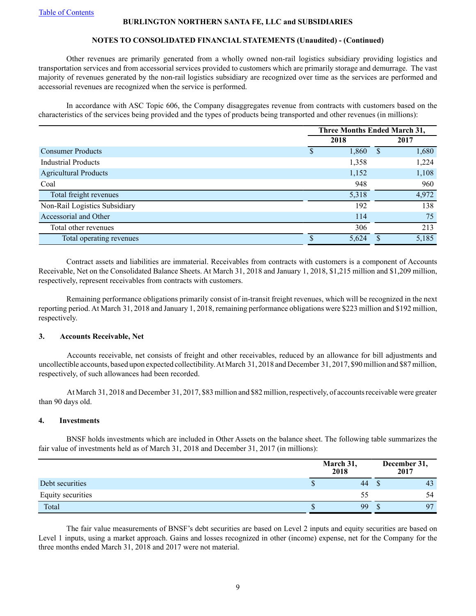# **NOTES TO CONSOLIDATED FINANCIAL STATEMENTS (Unaudited) - (Continued)**

Other revenues are primarily generated from a wholly owned non-rail logistics subsidiary providing logistics and transportation services and from accessorial services provided to customers which are primarily storage and demurrage. The vast majority of revenues generated by the non-rail logistics subsidiary are recognized over time as the services are performed and accessorial revenues are recognized when the service is performed.

In accordance with ASC Topic 606, the Company disaggregates revenue from contracts with customers based on the characteristics of the services being provided and the types of products being transported and other revenues (in millions):

|                               | Three Months Ended March 31, |       |              |       |  |
|-------------------------------|------------------------------|-------|--------------|-------|--|
|                               |                              | 2018  |              | 2017  |  |
| <b>Consumer Products</b>      |                              | 1,860 | <sup>S</sup> | 1,680 |  |
| <b>Industrial Products</b>    |                              | 1,358 |              | 1,224 |  |
| <b>Agricultural Products</b>  |                              | 1,152 |              | 1,108 |  |
| Coal                          |                              | 948   |              | 960   |  |
| Total freight revenues        |                              | 5,318 |              | 4,972 |  |
| Non-Rail Logistics Subsidiary |                              | 192   |              | 138   |  |
| Accessorial and Other         |                              | 114   |              | 75    |  |
| Total other revenues          |                              | 306   |              | 213   |  |
| Total operating revenues      |                              | 5,624 |              | 5,185 |  |

Contract assets and liabilities are immaterial. Receivables from contracts with customers is a component of Accounts Receivable, Net on the Consolidated Balance Sheets. At March 31, 2018 and January 1, 2018, \$1,215 million and \$1,209 million, respectively, represent receivables from contracts with customers.

Remaining performance obligations primarily consist of in-transit freight revenues, which will be recognized in the next reporting period. At March 31, 2018 and January 1, 2018, remaining performance obligations were \$223 million and \$192 million, respectively.

#### **3. Accounts Receivable, Net**

Accounts receivable, net consists of freight and other receivables, reduced by an allowance for bill adjustments and uncollectible accounts, based upon expected collectibility. At March 31, 2018 and December 31, 2017, \$90 million and \$87 million, respectively, of such allowances had been recorded.

At March 31, 2018 and December 31, 2017, \$83 million and \$82 million, respectively, of accounts receivable were greater than 90 days old.

#### **4. Investments**

BNSF holds investments which are included in Other Assets on the balance sheet. The following table summarizes the fair value of investments held as of March 31, 2018 and December 31, 2017 (in millions):

|                   | March 31,<br>2018 | December 31,<br>2017 |    |  |
|-------------------|-------------------|----------------------|----|--|
| Debt securities   | 44                |                      | 43 |  |
| Equity securities | CC                |                      | 54 |  |
| Total             | 99                |                      | 97 |  |

The fair value measurements of BNSF's debt securities are based on Level 2 inputs and equity securities are based on Level 1 inputs, using a market approach. Gains and losses recognized in other (income) expense, net for the Company for the three months ended March 31, 2018 and 2017 were not material.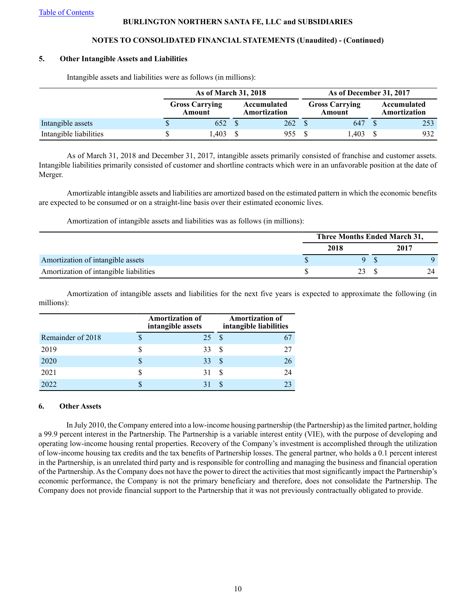# **NOTES TO CONSOLIDATED FINANCIAL STATEMENTS (Unaudited) - (Continued)**

## **5. Other Intangible Assets and Liabilities**

|                        |                                                                | As of March 31, 2018 |  |                                 |                             |       | As of December 31, 2017 |     |  |
|------------------------|----------------------------------------------------------------|----------------------|--|---------------------------------|-----------------------------|-------|-------------------------|-----|--|
|                        | <b>Gross Carrying</b><br>Accumulated<br>Amortization<br>Amount |                      |  | <b>Gross Carrying</b><br>Amount | Accumulated<br>Amortization |       |                         |     |  |
| Intangible assets      |                                                                | 652                  |  | 262                             |                             | 647   |                         | 253 |  |
| Intangible liabilities |                                                                | .403                 |  | 955                             |                             | 1.403 |                         | 932 |  |

Intangible assets and liabilities were as follows (in millions):

As of March 31, 2018 and December 31, 2017, intangible assets primarily consisted of franchise and customer assets. Intangible liabilities primarily consisted of customer and shortline contracts which were in an unfavorable position at the date of Merger.

Amortizable intangible assets and liabilities are amortized based on the estimated pattern in which the economic benefits are expected to be consumed or on a straight-line basis over their estimated economic lives.

Amortization of intangible assets and liabilities was as follows (in millions):

|                                        | Three Months Ended March 31, |      |    |
|----------------------------------------|------------------------------|------|----|
|                                        | 2018                         | 2017 |    |
| Amortization of intangible assets      |                              |      |    |
| Amortization of intangible liabilities | 23                           |      | 24 |

Amortization of intangible assets and liabilities for the next five years is expected to approximate the following (in millions):

|                   |   | <b>Amortization of</b><br>intangible assets |              | <b>Amortization of</b><br>intangible liabilities |
|-------------------|---|---------------------------------------------|--------------|--------------------------------------------------|
| Remainder of 2018 | J | 25                                          | <sup>S</sup> |                                                  |
| 2019              |   | 33                                          | <b>S</b>     |                                                  |
| 2020              | S | 33                                          | <b>S</b>     | 26                                               |
| 2021              |   | 31                                          | S.           | 24                                               |
| 2022              |   |                                             | S.           | 23                                               |

## **6. Other Assets**

In July 2010, the Company entered into a low-income housing partnership (the Partnership) as the limited partner, holding a 99.9 percent interest in the Partnership. The Partnership is a variable interest entity (VIE), with the purpose of developing and operating low-income housing rental properties. Recovery of the Company's investment is accomplished through the utilization of low-income housing tax credits and the tax benefits of Partnership losses. The general partner, who holds a 0.1 percent interest in the Partnership, is an unrelated third party and is responsible for controlling and managing the business and financial operation of the Partnership. As the Company does not have the power to direct the activities that most significantly impact the Partnership's economic performance, the Company is not the primary beneficiary and therefore, does not consolidate the Partnership. The Company does not provide financial support to the Partnership that it was not previously contractually obligated to provide.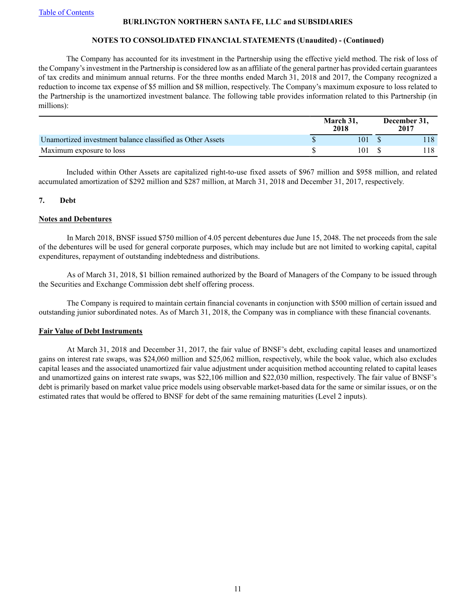# **NOTES TO CONSOLIDATED FINANCIAL STATEMENTS (Unaudited) - (Continued)**

The Company has accounted for its investment in the Partnership using the effective yield method. The risk of loss of the Company's investment in the Partnership is considered low as an affiliate of the general partner has provided certain guarantees of tax credits and minimum annual returns. For the three months ended March 31, 2018 and 2017, the Company recognized a reduction to income tax expense of \$5 million and \$8 million, respectively. The Company's maximum exposure to loss related to the Partnership is the unamortized investment balance. The following table provides information related to this Partnership (in millions):

|                                                           | March 31,<br>2018 | December 31,<br>2017 |     |
|-----------------------------------------------------------|-------------------|----------------------|-----|
| Unamortized investment balance classified as Other Assets | 101               |                      | 18  |
| Maximum exposure to loss                                  | 101               |                      | .18 |

Included within Other Assets are capitalized right-to-use fixed assets of \$967 million and \$958 million, and related accumulated amortization of \$292 million and \$287 million, at March 31, 2018 and December 31, 2017, respectively.

#### **7. Debt**

#### **Notes and Debentures**

In March 2018, BNSF issued \$750 million of 4.05 percent debentures due June 15, 2048. The net proceeds from the sale of the debentures will be used for general corporate purposes, which may include but are not limited to working capital, capital expenditures, repayment of outstanding indebtedness and distributions.

As of March 31, 2018, \$1 billion remained authorized by the Board of Managers of the Company to be issued through the Securities and Exchange Commission debt shelf offering process.

The Company is required to maintain certain financial covenants in conjunction with \$500 million of certain issued and outstanding junior subordinated notes. As of March 31, 2018, the Company was in compliance with these financial covenants.

#### **Fair Value of Debt Instruments**

At March 31, 2018 and December 31, 2017, the fair value of BNSF's debt, excluding capital leases and unamortized gains on interest rate swaps, was \$24,060 million and \$25,062 million, respectively, while the book value, which also excludes capital leases and the associated unamortized fair value adjustment under acquisition method accounting related to capital leases and unamortized gains on interest rate swaps, was \$22,106 million and \$22,030 million, respectively. The fair value of BNSF's debt is primarily based on market value price models using observable market-based data for the same or similar issues, or on the estimated rates that would be offered to BNSF for debt of the same remaining maturities (Level 2 inputs).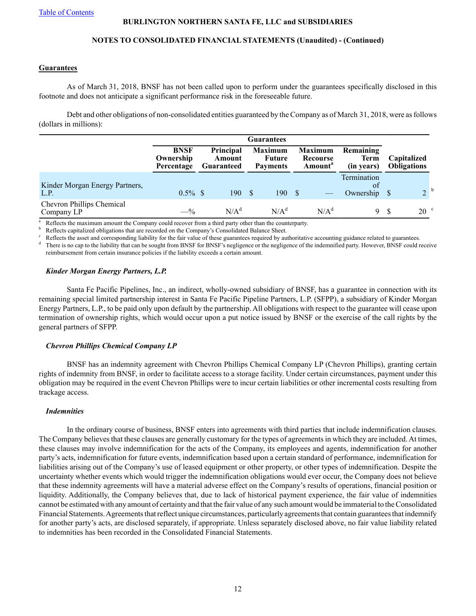## **NOTES TO CONSOLIDATED FINANCIAL STATEMENTS (Unaudited) - (Continued)**

## **Guarantees**

As of March 31, 2018, BNSF has not been called upon to perform under the guarantees specifically disclosed in this footnote and does not anticipate a significant performance risk in the foreseeable future.

Debt and other obligations of non-consolidated entities guaranteed by the Company as of March 31, 2018, were as follows (dollars in millions):

|                                         | <b>Guarantees</b>                                                                  |  |                  |                                             |         |                                                   |                                 |                                |                                   |                 |
|-----------------------------------------|------------------------------------------------------------------------------------|--|------------------|---------------------------------------------|---------|---------------------------------------------------|---------------------------------|--------------------------------|-----------------------------------|-----------------|
|                                         | <b>BNSF</b><br><b>Principal</b><br>Ownership<br>Amount<br>Percentage<br>Guaranteed |  |                  | <b>Maximum</b><br>Future<br><b>Payments</b> |         | <b>Maximum</b><br>Recourse<br>Amount <sup>a</sup> | Remaining<br>Term<br>(in years) |                                | Capitalized<br><b>Obligations</b> |                 |
| Kinder Morgan Energy Partners,<br>L.P.  | $0.5\%$ \$                                                                         |  | 190              |                                             | 190     |                                                   |                                 | Termination<br>of<br>Ownership |                                   | 2 <sup>b</sup>  |
| Chevron Phillips Chemical<br>Company LP | $-$ %                                                                              |  | N/A <sup>d</sup> |                                             | $N/A^d$ |                                                   | N/A <sup>d</sup>                | 9                              | - \$                              | 20 <sup>c</sup> |

Reflects the maximum amount the Company could recover from a third party other than the counterparty.

<sup>b</sup>Reflects capitalized obligations that are recorded on the Company's Consolidated Balance Sheet.

Reflects the asset and corresponding liability for the fair value of these guarantees required by authoritative accounting guidance related to guarantees.

There is no cap to the liability that can be sought from BNSF for BNSF's negligence or the negligence of the indemnified party. However, BNSF could receive reimbursement from certain insurance policies if the liability exceeds a certain amount.

#### *Kinder Morgan Energy Partners, L.P.*

Santa Fe Pacific Pipelines, Inc., an indirect, wholly-owned subsidiary of BNSF, has a guarantee in connection with its remaining special limited partnership interest in Santa Fe Pacific Pipeline Partners, L.P. (SFPP), a subsidiary of Kinder Morgan Energy Partners, L.P., to be paid only upon default by the partnership. All obligations with respect to the guarantee will cease upon termination of ownership rights, which would occur upon a put notice issued by BNSF or the exercise of the call rights by the general partners of SFPP.

## *Chevron Phillips Chemical Company LP*

BNSF has an indemnity agreement with Chevron Phillips Chemical Company LP (Chevron Phillips), granting certain rights of indemnity from BNSF, in order to facilitate access to a storage facility. Under certain circumstances, payment under this obligation may be required in the event Chevron Phillips were to incur certain liabilities or other incremental costs resulting from trackage access.

## *Indemnities*

In the ordinary course of business, BNSF enters into agreements with third parties that include indemnification clauses. The Company believes that these clauses are generally customary for the types of agreements in which they are included. At times, these clauses may involve indemnification for the acts of the Company, its employees and agents, indemnification for another party's acts, indemnification for future events, indemnification based upon a certain standard of performance, indemnification for liabilities arising out of the Company's use of leased equipment or other property, or other types of indemnification. Despite the uncertainty whether events which would trigger the indemnification obligations would ever occur, the Company does not believe that these indemnity agreements will have a material adverse effect on the Company's results of operations, financial position or liquidity. Additionally, the Company believes that, due to lack of historical payment experience, the fair value of indemnities cannot be estimated with any amount of certainty and that the fair value of any such amount would be immaterial to the Consolidated Financial Statements. Agreements that reflect unique circumstances, particularly agreements that contain guarantees that indemnify for another party's acts, are disclosed separately, if appropriate. Unless separately disclosed above, no fair value liability related to indemnities has been recorded in the Consolidated Financial Statements.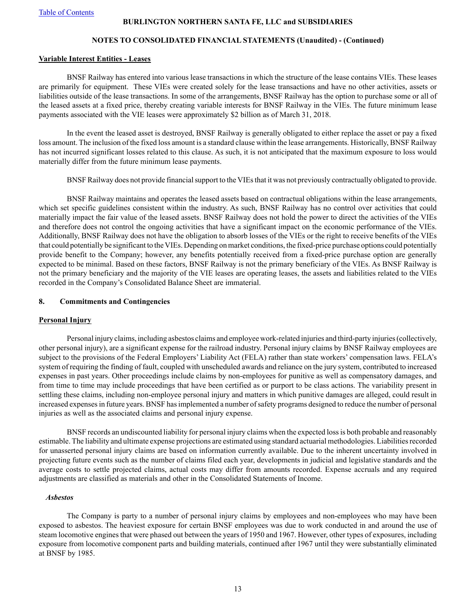## **NOTES TO CONSOLIDATED FINANCIAL STATEMENTS (Unaudited) - (Continued)**

#### **Variable Interest Entities - Leases**

BNSF Railway has entered into various lease transactions in which the structure of the lease contains VIEs. These leases are primarily for equipment. These VIEs were created solely for the lease transactions and have no other activities, assets or liabilities outside of the lease transactions. In some of the arrangements, BNSF Railway has the option to purchase some or all of the leased assets at a fixed price, thereby creating variable interests for BNSF Railway in the VIEs. The future minimum lease payments associated with the VIE leases were approximately \$2 billion as of March 31, 2018.

In the event the leased asset is destroyed, BNSF Railway is generally obligated to either replace the asset or pay a fixed loss amount. The inclusion of the fixed loss amount is a standard clause within the lease arrangements. Historically, BNSF Railway has not incurred significant losses related to this clause. As such, it is not anticipated that the maximum exposure to loss would materially differ from the future minimum lease payments.

BNSF Railway does not provide financial support to the VIEs that it was not previously contractually obligated to provide.

BNSF Railway maintains and operates the leased assets based on contractual obligations within the lease arrangements, which set specific guidelines consistent within the industry. As such, BNSF Railway has no control over activities that could materially impact the fair value of the leased assets. BNSF Railway does not hold the power to direct the activities of the VIEs and therefore does not control the ongoing activities that have a significant impact on the economic performance of the VIEs. Additionally, BNSF Railway does not have the obligation to absorb losses of the VIEs or the right to receive benefits of the VIEs that could potentially be significant to the VIEs. Depending on market conditions, the fixed-price purchase options could potentially provide benefit to the Company; however, any benefits potentially received from a fixed-price purchase option are generally expected to be minimal. Based on these factors, BNSF Railway is not the primary beneficiary of the VIEs. As BNSF Railway is not the primary beneficiary and the majority of the VIE leases are operating leases, the assets and liabilities related to the VIEs recorded in the Company's Consolidated Balance Sheet are immaterial.

#### **8. Commitments and Contingencies**

#### **Personal Injury**

Personal injury claims, including asbestos claims and employee work-related injuries and third-party injuries (collectively, other personal injury), are a significant expense for the railroad industry. Personal injury claims by BNSF Railway employees are subject to the provisions of the Federal Employers' Liability Act (FELA) rather than state workers' compensation laws. FELA's system of requiring the finding of fault, coupled with unscheduled awards and reliance on the jury system, contributed to increased expenses in past years. Other proceedings include claims by non-employees for punitive as well as compensatory damages, and from time to time may include proceedings that have been certified as or purport to be class actions. The variability present in settling these claims, including non-employee personal injury and matters in which punitive damages are alleged, could result in increased expenses in future years. BNSF has implemented a number of safety programs designed to reduce the number of personal injuries as well as the associated claims and personal injury expense.

BNSF records an undiscounted liability for personal injury claims when the expected loss is both probable and reasonably estimable. The liability and ultimate expense projections are estimated using standard actuarial methodologies. Liabilities recorded for unasserted personal injury claims are based on information currently available. Due to the inherent uncertainty involved in projecting future events such as the number of claims filed each year, developments in judicial and legislative standards and the average costs to settle projected claims, actual costs may differ from amounts recorded. Expense accruals and any required adjustments are classified as materials and other in the Consolidated Statements of Income.

## *Asbestos*

The Company is party to a number of personal injury claims by employees and non-employees who may have been exposed to asbestos. The heaviest exposure for certain BNSF employees was due to work conducted in and around the use of steam locomotive engines that were phased out between the years of 1950 and 1967. However, other types of exposures, including exposure from locomotive component parts and building materials, continued after 1967 until they were substantially eliminated at BNSF by 1985.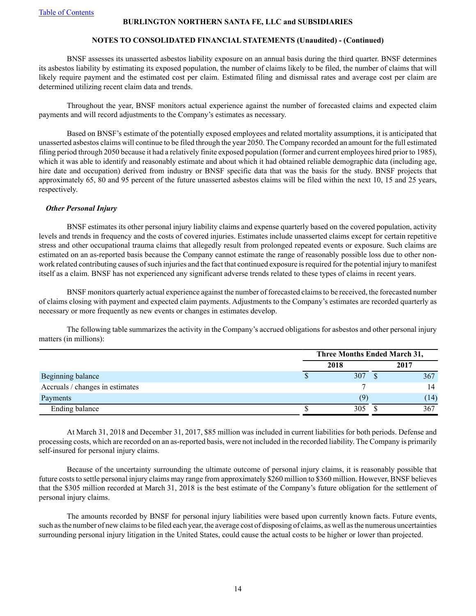## **NOTES TO CONSOLIDATED FINANCIAL STATEMENTS (Unaudited) - (Continued)**

BNSF assesses its unasserted asbestos liability exposure on an annual basis during the third quarter. BNSF determines its asbestos liability by estimating its exposed population, the number of claims likely to be filed, the number of claims that will likely require payment and the estimated cost per claim. Estimated filing and dismissal rates and average cost per claim are determined utilizing recent claim data and trends.

Throughout the year, BNSF monitors actual experience against the number of forecasted claims and expected claim payments and will record adjustments to the Company's estimates as necessary.

Based on BNSF's estimate of the potentially exposed employees and related mortality assumptions, it is anticipated that unasserted asbestos claims will continue to be filed through the year 2050. The Company recorded an amount for the full estimated filing period through 2050 because it had a relatively finite exposed population (former and current employees hired prior to 1985), which it was able to identify and reasonably estimate and about which it had obtained reliable demographic data (including age, hire date and occupation) derived from industry or BNSF specific data that was the basis for the study. BNSF projects that approximately 65, 80 and 95 percent of the future unasserted asbestos claims will be filed within the next 10, 15 and 25 years, respectively.

#### *Other Personal Injury*

BNSF estimates its other personal injury liability claims and expense quarterly based on the covered population, activity levels and trends in frequency and the costs of covered injuries. Estimates include unasserted claims except for certain repetitive stress and other occupational trauma claims that allegedly result from prolonged repeated events or exposure. Such claims are estimated on an as-reported basis because the Company cannot estimate the range of reasonably possible loss due to other nonwork related contributing causes of such injuries and the fact that continued exposure is required for the potential injury to manifest itself as a claim. BNSF has not experienced any significant adverse trends related to these types of claims in recent years.

BNSF monitors quarterly actual experience against the number of forecasted claims to be received, the forecasted number of claims closing with payment and expected claim payments. Adjustments to the Company's estimates are recorded quarterly as necessary or more frequently as new events or changes in estimates develop.

The following table summarizes the activity in the Company's accrued obligations for asbestos and other personal injury matters (in millions):

|                                 | Three Months Ended March 31, |      |  |      |  |  |
|---------------------------------|------------------------------|------|--|------|--|--|
|                                 |                              | 2018 |  | 2017 |  |  |
| Beginning balance               |                              | 307  |  | 367  |  |  |
| Accruals / changes in estimates |                              |      |  | 14   |  |  |
| Payments                        |                              | (9)  |  | (14) |  |  |
| Ending balance                  |                              | 305  |  | 367  |  |  |

At March 31, 2018 and December 31, 2017, \$85 million was included in current liabilities for both periods. Defense and processing costs, which are recorded on an as-reported basis, were not included in the recorded liability. The Company is primarily self-insured for personal injury claims.

Because of the uncertainty surrounding the ultimate outcome of personal injury claims, it is reasonably possible that future costs to settle personal injury claims may range from approximately \$260 million to \$360 million. However, BNSF believes that the \$305 million recorded at March 31, 2018 is the best estimate of the Company's future obligation for the settlement of personal injury claims.

The amounts recorded by BNSF for personal injury liabilities were based upon currently known facts. Future events, such as the number of new claims to be filed each year, the average cost of disposing of claims, as well as the numerous uncertainties surrounding personal injury litigation in the United States, could cause the actual costs to be higher or lower than projected.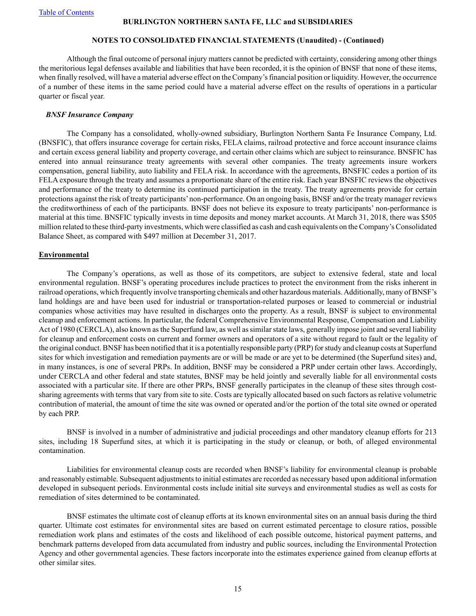## **NOTES TO CONSOLIDATED FINANCIAL STATEMENTS (Unaudited) - (Continued)**

Although the final outcome of personal injury matters cannot be predicted with certainty, considering among other things the meritorious legal defenses available and liabilities that have been recorded, it is the opinion of BNSF that none of these items, when finally resolved, will have a material adverse effect on the Company's financial position or liquidity. However, the occurrence of a number of these items in the same period could have a material adverse effect on the results of operations in a particular quarter or fiscal year.

#### *BNSF Insurance Company*

The Company has a consolidated, wholly-owned subsidiary, Burlington Northern Santa Fe Insurance Company, Ltd. (BNSFIC), that offers insurance coverage for certain risks, FELA claims, railroad protective and force account insurance claims and certain excess general liability and property coverage, and certain other claims which are subject to reinsurance. BNSFIC has entered into annual reinsurance treaty agreements with several other companies. The treaty agreements insure workers compensation, general liability, auto liability and FELA risk. In accordance with the agreements, BNSFIC cedes a portion of its FELA exposure through the treaty and assumes a proportionate share of the entire risk. Each year BNSFIC reviews the objectives and performance of the treaty to determine its continued participation in the treaty. The treaty agreements provide for certain protections against the risk of treaty participants'non-performance. On an ongoing basis, BNSF and/or the treaty manager reviews the creditworthiness of each of the participants. BNSF does not believe its exposure to treaty participants' non-performance is material at this time. BNSFIC typically invests in time deposits and money market accounts. At March 31, 2018, there was \$505 million related to these third-party investments, which were classified as cash and cash equivalents on the Company's Consolidated Balance Sheet, as compared with \$497 million at December 31, 2017.

#### **Environmental**

The Company's operations, as well as those of its competitors, are subject to extensive federal, state and local environmental regulation. BNSF's operating procedures include practices to protect the environment from the risks inherent in railroad operations, which frequently involve transporting chemicals and other hazardous materials. Additionally, many of BNSF's land holdings are and have been used for industrial or transportation-related purposes or leased to commercial or industrial companies whose activities may have resulted in discharges onto the property. As a result, BNSF is subject to environmental cleanup and enforcement actions. In particular, the federal Comprehensive Environmental Response, Compensation and Liability Act of 1980 (CERCLA), also known as the Superfund law, as well as similar state laws, generally impose joint and several liability for cleanup and enforcement costs on current and former owners and operators of a site without regard to fault or the legality of the original conduct. BNSF has been notified that it is a potentially responsible party (PRP) for study and cleanup costs at Superfund sites for which investigation and remediation payments are or will be made or are yet to be determined (the Superfund sites) and, in many instances, is one of several PRPs. In addition, BNSF may be considered a PRP under certain other laws. Accordingly, under CERCLA and other federal and state statutes, BNSF may be held jointly and severally liable for all environmental costs associated with a particular site. If there are other PRPs, BNSF generally participates in the cleanup of these sites through costsharing agreements with terms that vary from site to site. Costs are typically allocated based on such factors as relative volumetric contribution of material, the amount of time the site was owned or operated and/or the portion of the total site owned or operated by each PRP.

BNSF is involved in a number of administrative and judicial proceedings and other mandatory cleanup efforts for 213 sites, including 18 Superfund sites, at which it is participating in the study or cleanup, or both, of alleged environmental contamination.

Liabilities for environmental cleanup costs are recorded when BNSF's liability for environmental cleanup is probable and reasonably estimable. Subsequent adjustments to initial estimates are recorded as necessary based upon additional information developed in subsequent periods. Environmental costs include initial site surveys and environmental studies as well as costs for remediation of sites determined to be contaminated.

BNSF estimates the ultimate cost of cleanup efforts at its known environmental sites on an annual basis during the third quarter. Ultimate cost estimates for environmental sites are based on current estimated percentage to closure ratios, possible remediation work plans and estimates of the costs and likelihood of each possible outcome, historical payment patterns, and benchmark patterns developed from data accumulated from industry and public sources, including the Environmental Protection Agency and other governmental agencies. These factors incorporate into the estimates experience gained from cleanup efforts at other similar sites.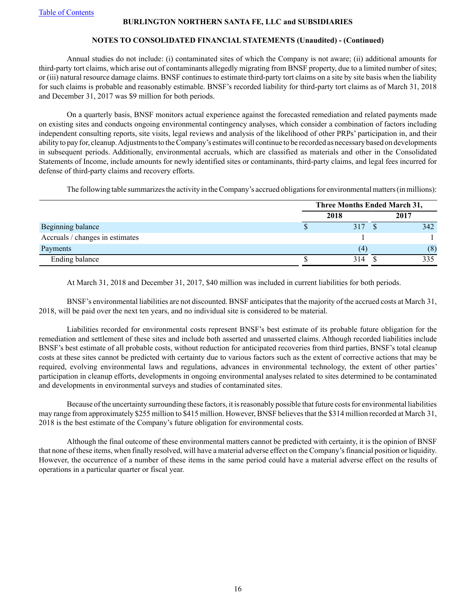# **NOTES TO CONSOLIDATED FINANCIAL STATEMENTS (Unaudited) - (Continued)**

Annual studies do not include: (i) contaminated sites of which the Company is not aware; (ii) additional amounts for third-party tort claims, which arise out of contaminants allegedly migrating from BNSF property, due to a limited number of sites; or (iii) natural resource damage claims. BNSF continues to estimate third-party tort claims on a site by site basis when the liability for such claims is probable and reasonably estimable. BNSF's recorded liability for third-party tort claims as of March 31, 2018 and December 31, 2017 was \$9 million for both periods.

On a quarterly basis, BNSF monitors actual experience against the forecasted remediation and related payments made on existing sites and conducts ongoing environmental contingency analyses, which consider a combination of factors including independent consulting reports, site visits, legal reviews and analysis of the likelihood of other PRPs' participation in, and their ability to pay for, cleanup. Adjustments to the Company's estimates will continue to be recorded as necessary based on developments in subsequent periods. Additionally, environmental accruals, which are classified as materials and other in the Consolidated Statements of Income, include amounts for newly identified sites or contaminants, third-party claims, and legal fees incurred for defense of third-party claims and recovery efforts.

The following table summarizes the activity in the Company's accrued obligations for environmental matters (in millions):

|                                 | <b>Three Months Ended March 31,</b> |      |  |      |  |  |  |
|---------------------------------|-------------------------------------|------|--|------|--|--|--|
|                                 |                                     | 2018 |  | 2017 |  |  |  |
| Beginning balance               |                                     | 317  |  | 342  |  |  |  |
| Accruals / changes in estimates |                                     |      |  |      |  |  |  |
| Payments                        |                                     | (4)  |  | (8)  |  |  |  |
| Ending balance                  |                                     | 314  |  | 335  |  |  |  |

At March 31, 2018 and December 31, 2017, \$40 million was included in current liabilities for both periods.

BNSF's environmental liabilities are not discounted. BNSF anticipates that the majority of the accrued costs at March 31, 2018, will be paid over the next ten years, and no individual site is considered to be material.

Liabilities recorded for environmental costs represent BNSF's best estimate of its probable future obligation for the remediation and settlement of these sites and include both asserted and unasserted claims. Although recorded liabilities include BNSF's best estimate of all probable costs, without reduction for anticipated recoveries from third parties, BNSF's total cleanup costs at these sites cannot be predicted with certainty due to various factors such as the extent of corrective actions that may be required, evolving environmental laws and regulations, advances in environmental technology, the extent of other parties' participation in cleanup efforts, developments in ongoing environmental analyses related to sites determined to be contaminated and developments in environmental surveys and studies of contaminated sites.

Because of the uncertainty surrounding these factors, it is reasonably possible that future costs for environmental liabilities may range from approximately \$255 million to \$415 million. However, BNSF believes that the \$314 million recorded at March 31, 2018 is the best estimate of the Company's future obligation for environmental costs.

Although the final outcome of these environmental matters cannot be predicted with certainty, it is the opinion of BNSF that none of these items, when finally resolved, will have a material adverse effect on the Company's financial position or liquidity. However, the occurrence of a number of these items in the same period could have a material adverse effect on the results of operations in a particular quarter or fiscal year.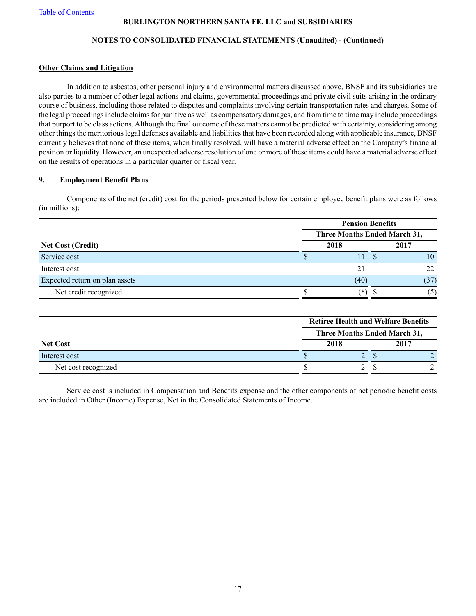# **NOTES TO CONSOLIDATED FINANCIAL STATEMENTS (Unaudited) - (Continued)**

#### **Other Claims and Litigation**

In addition to asbestos, other personal injury and environmental matters discussed above, BNSF and its subsidiaries are also parties to a number of other legal actions and claims, governmental proceedings and private civil suits arising in the ordinary course of business, including those related to disputes and complaints involving certain transportation rates and charges. Some of the legal proceedings include claims for punitive as well as compensatory damages, and from time to time may include proceedings that purport to be class actions. Although the final outcome of these matters cannot be predicted with certainty, considering among other things the meritorious legal defenses available and liabilities that have been recorded along with applicable insurance, BNSF currently believes that none of these items, when finally resolved, will have a material adverse effect on the Company's financial position or liquidity. However, an unexpected adverse resolution of one or more of these items could have a material adverse effect on the results of operations in a particular quarter or fiscal year.

# **9. Employment Benefit Plans**

Components of the net (credit) cost for the periods presented below for certain employee benefit plans were as follows (in millions):

|                                | <b>Pension Benefits</b>      |  |      |  |  |  |
|--------------------------------|------------------------------|--|------|--|--|--|
| <b>Net Cost (Credit)</b>       | Three Months Ended March 31, |  |      |  |  |  |
|                                | 2018                         |  | 2017 |  |  |  |
| Service cost                   | 11                           |  | 10   |  |  |  |
| Interest cost                  | 21                           |  | 22   |  |  |  |
| Expected return on plan assets | (40)                         |  | (37) |  |  |  |
| Net credit recognized          | (8)                          |  | (5)  |  |  |  |

|                     | <b>Retiree Health and Welfare Benefits</b> |      |  |      |  |  |  |  |
|---------------------|--------------------------------------------|------|--|------|--|--|--|--|
|                     | <b>Three Months Ended March 31,</b>        |      |  |      |  |  |  |  |
| <b>Net Cost</b>     |                                            | 2018 |  | 2017 |  |  |  |  |
| Interest cost       |                                            |      |  |      |  |  |  |  |
| Net cost recognized |                                            |      |  |      |  |  |  |  |

Service cost is included in Compensation and Benefits expense and the other components of net periodic benefit costs are included in Other (Income) Expense, Net in the Consolidated Statements of Income.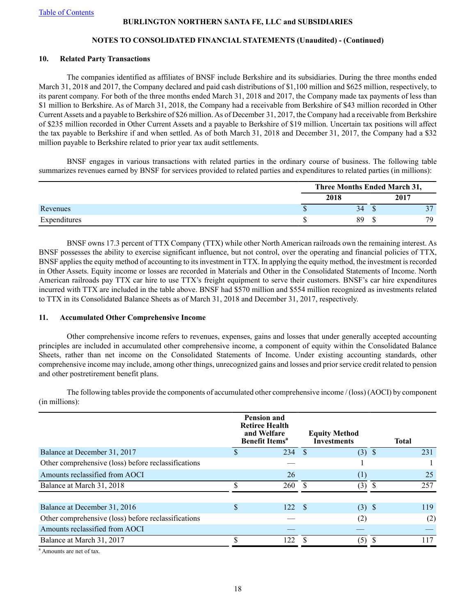# **NOTES TO CONSOLIDATED FINANCIAL STATEMENTS (Unaudited) - (Continued)**

## **10. Related Party Transactions**

The companies identified as affiliates of BNSF include Berkshire and its subsidiaries. During the three months ended March 31, 2018 and 2017, the Company declared and paid cash distributions of \$1,100 million and \$625 million, respectively, to its parent company. For both of the three months ended March 31, 2018 and 2017, the Company made tax payments of less than \$1 million to Berkshire. As of March 31, 2018, the Company had a receivable from Berkshire of \$43 million recorded in Other Current Assets and a payable to Berkshire of \$26 million. As of December 31, 2017, the Company had a receivable from Berkshire of \$235 million recorded in Other Current Assets and a payable to Berkshire of \$19 million. Uncertain tax positions will affect the tax payable to Berkshire if and when settled. As of both March 31, 2018 and December 31, 2017, the Company had a \$32 million payable to Berkshire related to prior year tax audit settlements.

BNSF engages in various transactions with related parties in the ordinary course of business. The following table summarizes revenues earned by BNSF for services provided to related parties and expenditures to related parties (in millions):

|              | <b>Three Months Ended March 31,</b> |  |      |  |  |  |
|--------------|-------------------------------------|--|------|--|--|--|
|              | 2018                                |  | 2017 |  |  |  |
| Revenues     | 34                                  |  |      |  |  |  |
| Expenditures | 89                                  |  | 70   |  |  |  |

BNSF owns 17.3 percent of TTX Company (TTX) while other North American railroads own the remaining interest. As BNSF possesses the ability to exercise significant influence, but not control, over the operating and financial policies of TTX, BNSF applies the equity method of accounting to its investment in TTX. In applying the equity method, the investment is recorded in Other Assets. Equity income or losses are recorded in Materials and Other in the Consolidated Statements of Income. North American railroads pay TTX car hire to use TTX's freight equipment to serve their customers. BNSF's car hire expenditures incurred with TTX are included in the table above. BNSF had \$570 million and \$554 million recognized as investments related to TTX in its Consolidated Balance Sheets as of March 31, 2018 and December 31, 2017, respectively.

## **11. Accumulated Other Comprehensive Income**

Other comprehensive income refers to revenues, expenses, gains and losses that under generally accepted accounting principles are included in accumulated other comprehensive income, a component of equity within the Consolidated Balance Sheets, rather than net income on the Consolidated Statements of Income. Under existing accounting standards, other comprehensive income may include, among other things, unrecognized gains and losses and prior service credit related to pension and other postretirement benefit plans.

The following tables provide the components of accumulated other comprehensive income / (loss) (AOCI) by component (in millions):

|                                                     | <b>Pension and</b><br><b>Retiree Health</b><br>and Welfare<br><b>Benefit Items<sup>a</sup></b> |      | <b>Equity Method</b><br><b>Investments</b> | <b>Total</b> |
|-----------------------------------------------------|------------------------------------------------------------------------------------------------|------|--------------------------------------------|--------------|
| Balance at December 31, 2017                        | 234S                                                                                           |      | $(3)$ \$                                   | 231          |
| Other comprehensive (loss) before reclassifications |                                                                                                |      |                                            |              |
| Amounts reclassified from AOCI                      | 26                                                                                             |      | (1)                                        | 25           |
| Balance at March 31, 2018                           | 260                                                                                            |      | (3)                                        | 257          |
|                                                     |                                                                                                |      |                                            |              |
| Balance at December 31, 2016                        | \$<br>122                                                                                      | - \$ | $(3)$ \$                                   | 119          |
| Other comprehensive (loss) before reclassifications |                                                                                                |      | (2)                                        | (2)          |
| Amounts reclassified from AOCI                      |                                                                                                |      |                                            |              |
| Balance at March 31, 2017                           | 122.                                                                                           |      | (5)                                        | 117          |
|                                                     |                                                                                                |      |                                            |              |

<sup>a</sup> Amounts are net of tax.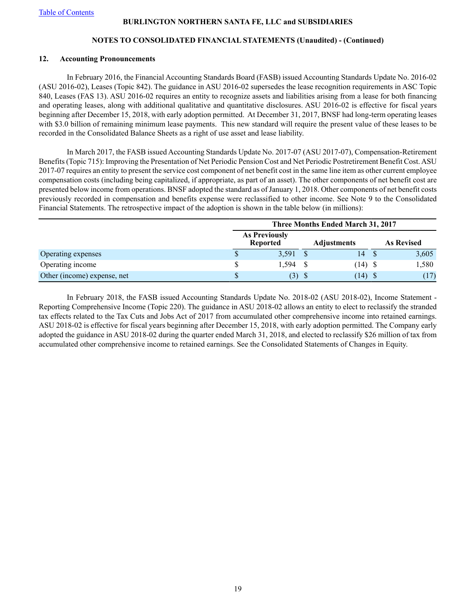# **NOTES TO CONSOLIDATED FINANCIAL STATEMENTS (Unaudited) - (Continued)**

## **12. Accounting Pronouncements**

In February 2016, the Financial Accounting Standards Board (FASB) issued Accounting Standards Update No. 2016-02 (ASU 2016-02), Leases (Topic 842). The guidance in ASU 2016-02 supersedes the lease recognition requirements in ASC Topic 840, Leases (FAS 13). ASU 2016-02 requires an entity to recognize assets and liabilities arising from a lease for both financing and operating leases, along with additional qualitative and quantitative disclosures. ASU 2016-02 is effective for fiscal years beginning after December 15, 2018, with early adoption permitted. At December 31, 2017, BNSF had long-term operating leases with \$3.0 billion of remaining minimum lease payments. This new standard will require the present value of these leases to be recorded in the Consolidated Balance Sheets as a right of use asset and lease liability.

In March 2017, the FASB issued Accounting Standards Update No. 2017-07 (ASU 2017-07), Compensation-Retirement Benefits (Topic 715): Improving the Presentation of Net Periodic Pension Cost and Net Periodic Postretirement Benefit Cost. ASU 2017-07 requires an entity to present the service cost component of net benefit cost in the same line item as other current employee compensation costs (including being capitalized, if appropriate, as part of an asset). The other components of net benefit cost are presented below income from operations. BNSF adopted the standard as of January 1, 2018. Other components of net benefit costs previously recorded in compensation and benefits expense were reclassified to other income. See Note 9 to the Consolidated Financial Statements. The retrospective impact of the adoption is shown in the table below (in millions):

|                             |                                         | Three Months Ended March 31, 2017 |                    |           |  |            |  |  |  |
|-----------------------------|-----------------------------------------|-----------------------------------|--------------------|-----------|--|------------|--|--|--|
|                             | <b>As Previously</b><br><b>Reported</b> |                                   | <b>Adjustments</b> |           |  | As Revised |  |  |  |
| Operating expenses          |                                         | 3.591                             |                    | 14        |  | 3,605      |  |  |  |
| Operating income            |                                         | 1.594                             |                    | $(14)$ \$ |  | 1,580      |  |  |  |
| Other (income) expense, net |                                         | (3)                               |                    | (14)      |  | (17)       |  |  |  |

In February 2018, the FASB issued Accounting Standards Update No. 2018-02 (ASU 2018-02), Income Statement - Reporting Comprehensive Income (Topic 220). The guidance in ASU 2018-02 allows an entity to elect to reclassify the stranded tax effects related to the Tax Cuts and Jobs Act of 2017 from accumulated other comprehensive income into retained earnings. ASU 2018-02 is effective for fiscal years beginning after December 15, 2018, with early adoption permitted. The Company early adopted the guidance in ASU 2018-02 during the quarter ended March 31, 2018, and elected to reclassify \$26 million of tax from accumulated other comprehensive income to retained earnings. See the Consolidated Statements of Changes in Equity.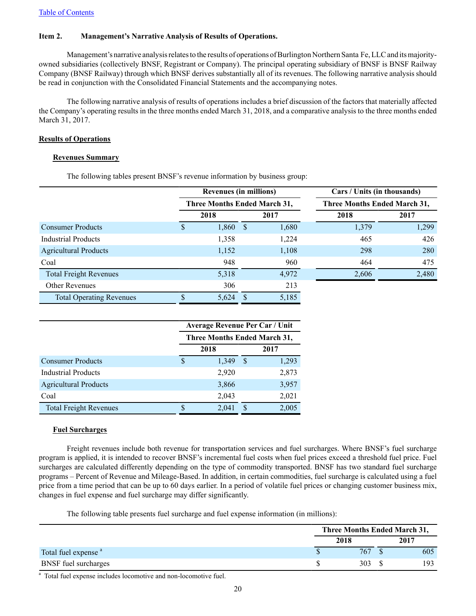## <span id="page-19-0"></span>**Item 2. Management's Narrative Analysis of Results of Operations.**

Management's narrative analysis relates to the results of operations of Burlington Northern Santa Fe, LLC and its majorityowned subsidiaries (collectively BNSF, Registrant or Company). The principal operating subsidiary of BNSF is BNSF Railway Company (BNSF Railway) through which BNSF derives substantially all of its revenues. The following narrative analysis should be read in conjunction with the Consolidated Financial Statements and the accompanying notes.

The following narrative analysis of results of operations includes a brief discussion of the factors that materially affected the Company's operating results in the three months ended March 31, 2018, and a comparative analysis to the three months ended March 31, 2017.

#### **Results of Operations**

#### **Revenues Summary**

The following tables present BNSF's revenue information by business group:

|                                 | <b>Revenues (in millions)</b>       |     |       | Cars / Units (in thousands)  |       |  |  |  |
|---------------------------------|-------------------------------------|-----|-------|------------------------------|-------|--|--|--|
|                                 | <b>Three Months Ended March 31,</b> |     |       | Three Months Ended March 31, |       |  |  |  |
|                                 | 2018                                |     | 2017  | 2018                         | 2017  |  |  |  |
| <b>Consumer Products</b>        | 1,860                               | - S | 1,680 | 1,379                        | 1,299 |  |  |  |
| <b>Industrial Products</b>      | 1,358                               |     | 1,224 | 465                          | 426   |  |  |  |
| <b>Agricultural Products</b>    | 1,152                               |     | 1,108 | 298                          | 280   |  |  |  |
| Coal                            | 948                                 |     | 960   | 464                          | 475   |  |  |  |
| <b>Total Freight Revenues</b>   | 5,318                               |     | 4,972 | 2,606                        | 2,480 |  |  |  |
| <b>Other Revenues</b>           | 306                                 |     | 213   |                              |       |  |  |  |
| <b>Total Operating Revenues</b> | 5,624                               |     | 5,185 |                              |       |  |  |  |

|                               | <b>Average Revenue Per Car / Unit</b> |                              |       |  |  |
|-------------------------------|---------------------------------------|------------------------------|-------|--|--|
|                               |                                       | Three Months Ended March 31, |       |  |  |
|                               | 2018                                  |                              | 2017  |  |  |
| <b>Consumer Products</b>      | 1,349                                 | S                            | 1,293 |  |  |
| <b>Industrial Products</b>    | 2,920                                 |                              | 2,873 |  |  |
| <b>Agricultural Products</b>  | 3,866                                 |                              | 3,957 |  |  |
| Coal                          | 2,043                                 |                              | 2,021 |  |  |
| <b>Total Freight Revenues</b> | 2.041                                 |                              | 2,005 |  |  |

## **Fuel Surcharges**

Freight revenues include both revenue for transportation services and fuel surcharges. Where BNSF's fuel surcharge program is applied, it is intended to recover BNSF's incremental fuel costs when fuel prices exceed a threshold fuel price. Fuel surcharges are calculated differently depending on the type of commodity transported. BNSF has two standard fuel surcharge programs – Percent of Revenue and Mileage-Based. In addition, in certain commodities, fuel surcharge is calculated using a fuel price from a time period that can be up to 60 days earlier. In a period of volatile fuel prices or changing customer business mix, changes in fuel expense and fuel surcharge may differ significantly.

The following table presents fuel surcharge and fuel expense information (in millions):

|                                 | Three Months Ended March 31, |      |  |      |  |  |
|---------------------------------|------------------------------|------|--|------|--|--|
|                                 |                              | 2018 |  | 2017 |  |  |
| Total fuel expense <sup>a</sup> |                              | 767  |  | 605  |  |  |
| BNSF fuel surcharges            |                              | 303  |  | 193  |  |  |

<sup>a</sup> Total fuel expense includes locomotive and non-locomotive fuel.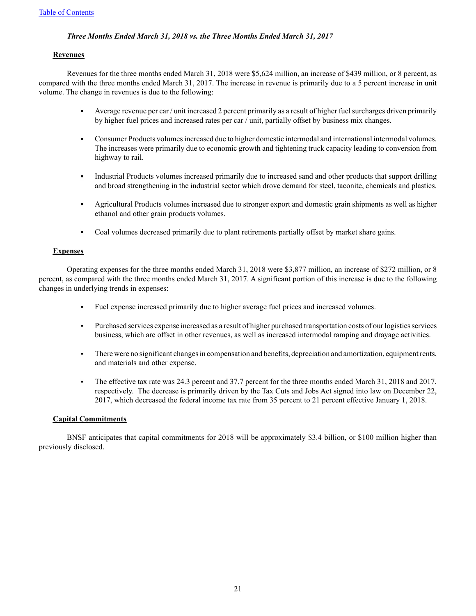# *Three Months Ended March 31, 2018 vs. the Three Months Ended March 31, 2017*

#### **Revenues**

Revenues for the three months ended March 31, 2018 were \$5,624 million, an increase of \$439 million, or 8 percent, as compared with the three months ended March 31, 2017. The increase in revenue is primarily due to a 5 percent increase in unit volume. The change in revenues is due to the following:

- Average revenue per car / unit increased 2 percent primarily as a result of higher fuel surcharges driven primarily by higher fuel prices and increased rates per car / unit, partially offset by business mix changes.
- Consumer Products volumes increased due to higher domestic intermodal and international intermodal volumes. The increases were primarily due to economic growth and tightening truck capacity leading to conversion from highway to rail.
- Industrial Products volumes increased primarily due to increased sand and other products that support drilling and broad strengthening in the industrial sector which drove demand for steel, taconite, chemicals and plastics.
- Agricultural Products volumes increased due to stronger export and domestic grain shipments as well as higher ethanol and other grain products volumes.
- Coal volumes decreased primarily due to plant retirements partially offset by market share gains.

#### **Expenses**

Operating expenses for the three months ended March 31, 2018 were \$3,877 million, an increase of \$272 million, or 8 percent, as compared with the three months ended March 31, 2017. A significant portion of this increase is due to the following changes in underlying trends in expenses:

- Fuel expense increased primarily due to higher average fuel prices and increased volumes.
- Purchased services expense increased as a result of higher purchased transportation costs of our logistics services business, which are offset in other revenues, as well as increased intermodal ramping and drayage activities.
- There were no significant changes in compensation and benefits, depreciation and amortization, equipment rents, and materials and other expense.
- The effective tax rate was 24.3 percent and 37.7 percent for the three months ended March 31, 2018 and 2017, respectively. The decrease is primarily driven by the Tax Cuts and Jobs Act signed into law on December 22, 2017, which decreased the federal income tax rate from 35 percent to 21 percent effective January 1, 2018.

# **Capital Commitments**

BNSF anticipates that capital commitments for 2018 will be approximately \$3.4 billion, or \$100 million higher than previously disclosed.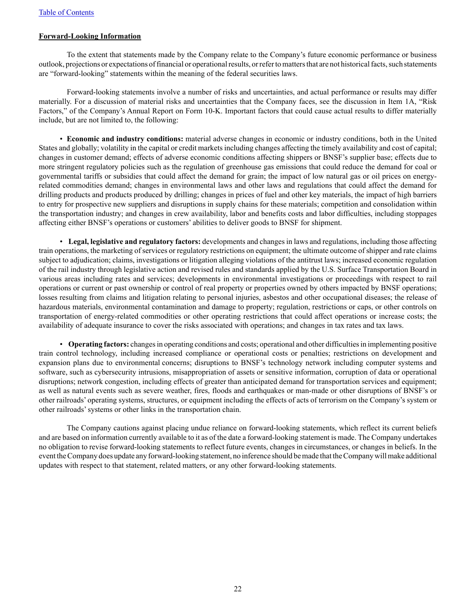## **Forward-Looking Information**

To the extent that statements made by the Company relate to the Company's future economic performance or business outlook, projections or expectations of financial or operational results, or refer to matters that are not historical facts, such statements are "forward-looking" statements within the meaning of the federal securities laws.

Forward-looking statements involve a number of risks and uncertainties, and actual performance or results may differ materially. For a discussion of material risks and uncertainties that the Company faces, see the discussion in Item 1A, "Risk Factors," of the Company's Annual Report on Form 10-K. Important factors that could cause actual results to differ materially include, but are not limited to, the following:

• **Economic and industry conditions:** material adverse changes in economic or industry conditions, both in the United States and globally; volatility in the capital or credit markets including changes affecting the timely availability and cost of capital; changes in customer demand; effects of adverse economic conditions affecting shippers or BNSF's supplier base; effects due to more stringent regulatory policies such as the regulation of greenhouse gas emissions that could reduce the demand for coal or governmental tariffs or subsidies that could affect the demand for grain; the impact of low natural gas or oil prices on energyrelated commodities demand; changes in environmental laws and other laws and regulations that could affect the demand for drilling products and products produced by drilling; changes in prices of fuel and other key materials, the impact of high barriers to entry for prospective new suppliers and disruptions in supply chains for these materials; competition and consolidation within the transportation industry; and changes in crew availability, labor and benefits costs and labor difficulties, including stoppages affecting either BNSF's operations or customers' abilities to deliver goods to BNSF for shipment.

• **Legal, legislative and regulatory factors:** developments and changes in laws and regulations, including those affecting train operations, the marketing of services or regulatory restrictions on equipment; the ultimate outcome of shipper and rate claims subject to adjudication; claims, investigations or litigation alleging violations of the antitrust laws; increased economic regulation of the rail industry through legislative action and revised rules and standards applied by the U.S. Surface Transportation Board in various areas including rates and services; developments in environmental investigations or proceedings with respect to rail operations or current or past ownership or control of real property or properties owned by others impacted by BNSF operations; losses resulting from claims and litigation relating to personal injuries, asbestos and other occupational diseases; the release of hazardous materials, environmental contamination and damage to property; regulation, restrictions or caps, or other controls on transportation of energy-related commodities or other operating restrictions that could affect operations or increase costs; the availability of adequate insurance to cover the risks associated with operations; and changes in tax rates and tax laws.

• **Operating factors:** changes in operating conditions and costs; operational and other difficulties in implementing positive train control technology, including increased compliance or operational costs or penalties; restrictions on development and expansion plans due to environmental concerns; disruptions to BNSF's technology network including computer systems and software, such as cybersecurity intrusions, misappropriation of assets or sensitive information, corruption of data or operational disruptions; network congestion, including effects of greater than anticipated demand for transportation services and equipment; as well as natural events such as severe weather, fires, floods and earthquakes or man-made or other disruptions of BNSF's or other railroads' operating systems, structures, or equipment including the effects of acts of terrorism on the Company's system or other railroads'systems or other links in the transportation chain.

The Company cautions against placing undue reliance on forward-looking statements, which reflect its current beliefs and are based on information currently available to it as of the date a forward-looking statement is made. The Company undertakes no obligation to revise forward-looking statements to reflect future events, changes in circumstances, or changes in beliefs. In the event the Company does update any forward-looking statement, no inference should be made that the Company will make additional updates with respect to that statement, related matters, or any other forward-looking statements.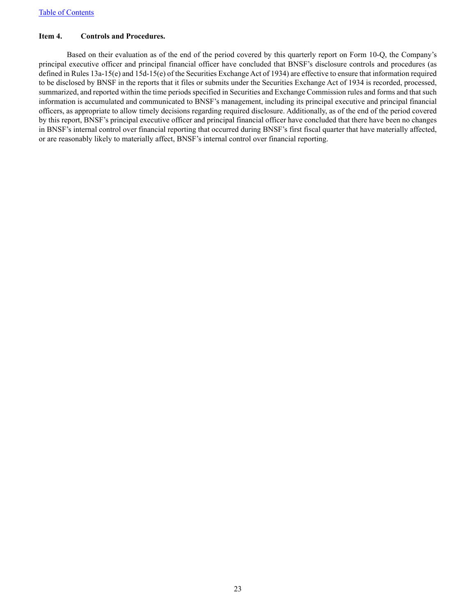# <span id="page-22-0"></span>**Item 4. Controls and Procedures.**

Based on their evaluation as of the end of the period covered by this quarterly report on Form 10-Q, the Company's principal executive officer and principal financial officer have concluded that BNSF's disclosure controls and procedures (as defined in Rules 13a-15(e) and 15d-15(e) of the Securities Exchange Act of 1934) are effective to ensure that information required to be disclosed by BNSF in the reports that it files or submits under the Securities Exchange Act of 1934 is recorded, processed, summarized, and reported within the time periods specified in Securities and Exchange Commission rules and forms and that such information is accumulated and communicated to BNSF's management, including its principal executive and principal financial officers, as appropriate to allow timely decisions regarding required disclosure. Additionally, as of the end of the period covered by this report, BNSF's principal executive officer and principal financial officer have concluded that there have been no changes in BNSF's internal control over financial reporting that occurred during BNSF's first fiscal quarter that have materially affected, or are reasonably likely to materially affect, BNSF's internal control over financial reporting.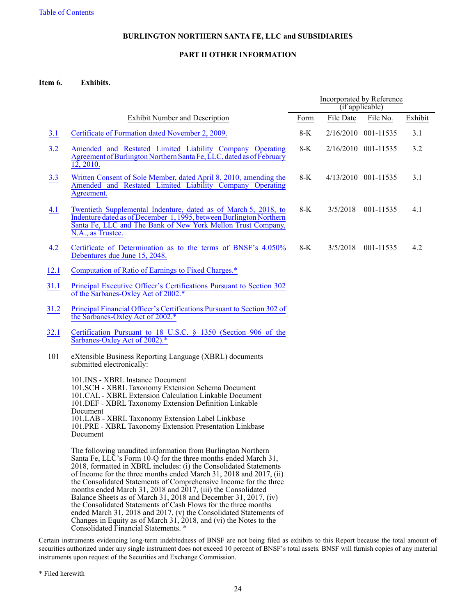## **PART II OTHER INFORMATION**

#### <span id="page-23-1"></span><span id="page-23-0"></span>**Item 6. Exhibits.**

|      |                                                                                                                                                                                                                                                                                                                                                                                                                                                                                                                                                                                                                                                                                                                                       | Incorporated by Reference<br>(if applicable) |           |                     |         |  |
|------|---------------------------------------------------------------------------------------------------------------------------------------------------------------------------------------------------------------------------------------------------------------------------------------------------------------------------------------------------------------------------------------------------------------------------------------------------------------------------------------------------------------------------------------------------------------------------------------------------------------------------------------------------------------------------------------------------------------------------------------|----------------------------------------------|-----------|---------------------|---------|--|
|      | <b>Exhibit Number and Description</b>                                                                                                                                                                                                                                                                                                                                                                                                                                                                                                                                                                                                                                                                                                 | Form                                         | File Date | File No.            | Exhibit |  |
| 3.1  | Certificate of Formation dated November 2, 2009.                                                                                                                                                                                                                                                                                                                                                                                                                                                                                                                                                                                                                                                                                      | 8-K                                          |           | 2/16/2010 001-11535 | 3.1     |  |
| 3.2  | Amended and Restated Limited Liability Company Operating<br>Agreement of Burlington Northern Santa Fe, LLC, dated as of February<br>$\overline{12, 2010}$ .                                                                                                                                                                                                                                                                                                                                                                                                                                                                                                                                                                           | $8-K$                                        |           | 2/16/2010 001-11535 | 3.2     |  |
| 3.3  | Written Consent of Sole Member, dated April 8, 2010, amending the<br>Amended and Restated Limited Liability Company Operating<br>Agreement.                                                                                                                                                                                                                                                                                                                                                                                                                                                                                                                                                                                           | 8-K                                          |           | 4/13/2010 001-11535 | 3.1     |  |
| 4.1  | Twentieth Supplemental Indenture, dated as of March 5, 2018, to<br>Indenture dated as of December 1, 1995, between Burlington Northern<br>Santa Fe, LLC and The Bank of New York Mellon Trust Company,<br>N.A., as Trustee.                                                                                                                                                                                                                                                                                                                                                                                                                                                                                                           | $8-K$                                        | 3/5/2018  | 001-11535           | 4.1     |  |
| 4.2  | Certificate of Determination as to the terms of BNSF's 4.050%<br>Debentures due June 15, 2048.                                                                                                                                                                                                                                                                                                                                                                                                                                                                                                                                                                                                                                        | $8-K$                                        | 3/5/2018  | 001-11535           | 4.2     |  |
| 12.1 | Computation of Ratio of Earnings to Fixed Charges.*                                                                                                                                                                                                                                                                                                                                                                                                                                                                                                                                                                                                                                                                                   |                                              |           |                     |         |  |
| 31.1 | Principal Executive Officer's Certifications Pursuant to Section 302<br>of the Sarbanes-Oxley Act of 2002.*                                                                                                                                                                                                                                                                                                                                                                                                                                                                                                                                                                                                                           |                                              |           |                     |         |  |
| 31.2 | Principal Financial Officer's Certifications Pursuant to Section 302 of<br>the Sarbanes-Oxley Act of 2002.*                                                                                                                                                                                                                                                                                                                                                                                                                                                                                                                                                                                                                           |                                              |           |                     |         |  |
| 32.1 | Certification Pursuant to 18 U.S.C. § 1350 (Section 906 of the<br>Sarbanes-Oxley Act of 2002).*                                                                                                                                                                                                                                                                                                                                                                                                                                                                                                                                                                                                                                       |                                              |           |                     |         |  |
| 101  | eXtensible Business Reporting Language (XBRL) documents<br>submitted electronically:                                                                                                                                                                                                                                                                                                                                                                                                                                                                                                                                                                                                                                                  |                                              |           |                     |         |  |
|      | 101.INS - XBRL Instance Document<br>101.SCH - XBRL Taxonomy Extension Schema Document<br>101.CAL - XBRL Extension Calculation Linkable Document<br>101.DEF - XBRL Taxonomy Extension Definition Linkable<br>Document<br>101.LAB - XBRL Taxonomy Extension Label Linkbase<br>101.PRE - XBRL Taxonomy Extension Presentation Linkbase<br>Document                                                                                                                                                                                                                                                                                                                                                                                       |                                              |           |                     |         |  |
|      | The following unaudited information from Burlington Northern<br>Santa Fe, LLC's Form 10-Q for the three months ended March 31,<br>2018, formatted in XBRL includes: (i) the Consolidated Statements<br>of Income for the three months ended March 31, 2018 and 2017, (ii)<br>the Consolidated Statements of Comprehensive Income for the three<br>months ended March 31, 2018 and 2017, (iii) the Consolidated<br>Balance Sheets as of March 31, 2018 and December 31, 2017, (iv)<br>the Consolidated Statements of Cash Flows for the three months<br>ended March 31, 2018 and 2017, (v) the Consolidated Statements of<br>Changes in Equity as of March 31, 2018, and (vi) the Notes to the<br>Consolidated Financial Statements. * |                                              |           |                     |         |  |

Certain instruments evidencing long-term indebtedness of BNSF are not being filed as exhibits to this Report because the total amount of securities authorized under any single instrument does not exceed 10 percent of BNSF's total assets. BNSF will furnish copies of any material instruments upon request of the Securities and Exchange Commission.

 $\frac{1}{2}$  ,  $\frac{1}{2}$  ,  $\frac{1}{2}$  ,  $\frac{1}{2}$  ,  $\frac{1}{2}$  ,  $\frac{1}{2}$  ,  $\frac{1}{2}$  ,  $\frac{1}{2}$  ,  $\frac{1}{2}$  ,  $\frac{1}{2}$ 

<sup>\*</sup> Filed herewith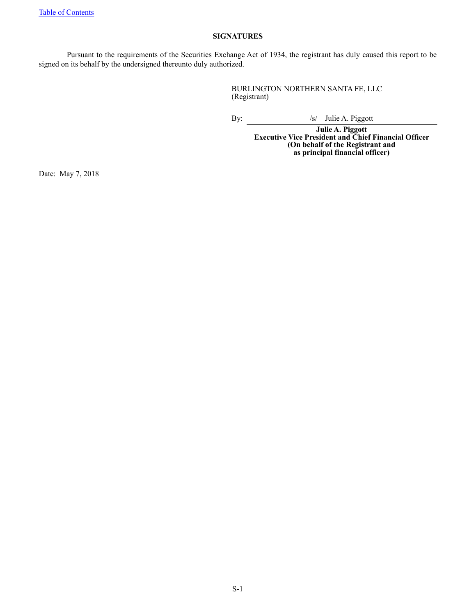# **SIGNATURES**

<span id="page-24-0"></span>Pursuant to the requirements of the Securities Exchange Act of 1934, the registrant has duly caused this report to be signed on its behalf by the undersigned thereunto duly authorized.

> BURLINGTON NORTHERN SANTA FE, LLC (Registrant)

By:  $\frac{1}{s}$  Julie A. Piggott

**Julie A. Piggott Executive Vice President and Chief Financial Officer (On behalf of the Registrant and as principal financial officer)**

Date: May 7, 2018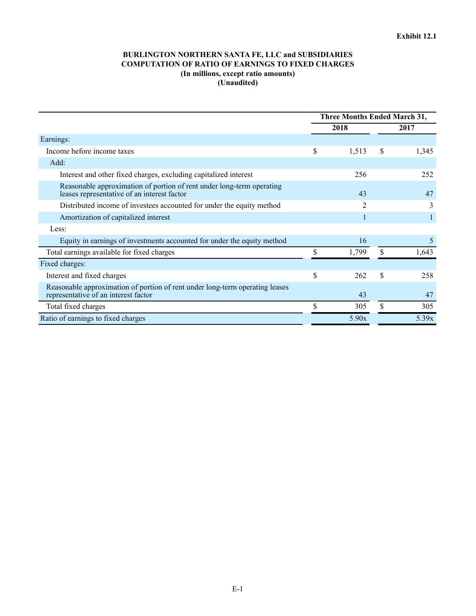# **BURLINGTON NORTHERN SANTA FE, LLC and SUBSIDIARIES COMPUTATION OF RATIO OF EARNINGS TO FIXED CHARGES (In millions, except ratio amounts) (Unaudited)**

<span id="page-25-0"></span>

|                                                                                                                      | <b>Three Months Ended March 31,</b> |    |       |  |
|----------------------------------------------------------------------------------------------------------------------|-------------------------------------|----|-------|--|
|                                                                                                                      | 2018                                |    | 2017  |  |
| Earnings:                                                                                                            |                                     |    |       |  |
| Income before income taxes                                                                                           | \$<br>1,513                         | \$ | 1,345 |  |
| Add:                                                                                                                 |                                     |    |       |  |
| Interest and other fixed charges, excluding capitalized interest                                                     | 256                                 |    | 252   |  |
| Reasonable approximation of portion of rent under long-term operating<br>leases representative of an interest factor | 43                                  |    | 47    |  |
| Distributed income of investees accounted for under the equity method                                                | 2                                   |    | 3     |  |
| Amortization of capitalized interest                                                                                 |                                     |    |       |  |
| Less:                                                                                                                |                                     |    |       |  |
| Equity in earnings of investments accounted for under the equity method                                              | 16                                  |    |       |  |
| Total earnings available for fixed charges                                                                           | \$<br>1,799                         | \$ | 1,643 |  |
| Fixed charges:                                                                                                       |                                     |    |       |  |
| Interest and fixed charges                                                                                           | \$<br>262                           | \$ | 258   |  |
| Reasonable approximation of portion of rent under long-term operating leases<br>representative of an interest factor | 43                                  |    | 47    |  |
| Total fixed charges                                                                                                  | \$<br>305                           | \$ | 305   |  |
| Ratio of earnings to fixed charges                                                                                   | 5.90x                               |    | 5.39x |  |
|                                                                                                                      |                                     |    |       |  |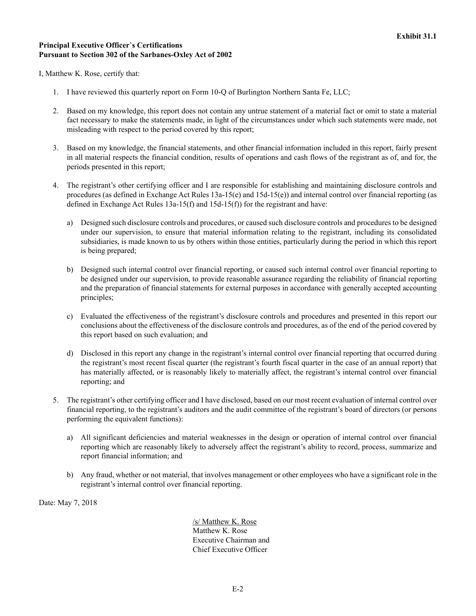## <span id="page-26-0"></span>**Principal Executive Officer**'**s Certifications Pursuant to Section 302 of the Sarbanes-Oxley Act of 2002**

I, Matthew K. Rose, certify that:

- 1. I have reviewed this quarterly report on Form 10-Q of Burlington Northern Santa Fe, LLC;
- 2. Based on my knowledge, this report does not contain any untrue statement of a material fact or omit to state a material fact necessary to make the statements made, in light of the circumstances under which such statements were made, not misleading with respect to the period covered by this report;
- 3. Based on my knowledge, the financial statements, and other financial information included in this report, fairly present in all material respects the financial condition, results of operations and cash flows of the registrant as of, and for, the periods presented in this report;
- 4. The registrant's other certifying officer and I are responsible for establishing and maintaining disclosure controls and procedures (as defined in Exchange Act Rules 13a-15(e) and 15d-15(e)) and internal control over financial reporting (as defined in Exchange Act Rules 13a-15(f) and 15d-15(f)) for the registrant and have:
	- a) Designed such disclosure controls and procedures, or caused such disclosure controls and procedures to be designed under our supervision, to ensure that material information relating to the registrant, including its consolidated subsidiaries, is made known to us by others within those entities, particularly during the period in which this report is being prepared;
	- b) Designed such internal control over financial reporting, or caused such internal control over financial reporting to be designed under our supervision, to provide reasonable assurance regarding the reliability of financial reporting and the preparation of financial statements for external purposes in accordance with generally accepted accounting principles;
	- c) Evaluated the effectiveness of the registrant's disclosure controls and procedures and presented in this report our conclusions about the effectiveness of the disclosure controls and procedures, as of the end of the period covered by this report based on such evaluation; and
	- d) Disclosed in this report any change in the registrant's internal control over financial reporting that occurred during the registrant's most recent fiscal quarter (the registrant's fourth fiscal quarter in the case of an annual report) that has materially affected, or is reasonably likely to materially affect, the registrant's internal control over financial reporting; and
- 5. The registrant's other certifying officer and I have disclosed, based on our most recent evaluation of internal control over financial reporting, to the registrant's auditors and the audit committee of the registrant's board of directors (or persons performing the equivalent functions):
	- a) All significant deficiencies and material weaknesses in the design or operation of internal control over financial reporting which are reasonably likely to adversely affect the registrant's ability to record, process, summarize and report financial information; and
	- b) Any fraud, whether or not material, that involves management or other employees who have a significant role in the registrant's internal control over financial reporting.

Date: May 7, 2018

/s/ Matthew K. Rose Matthew K. Rose Executive Chairman and Chief Executive Officer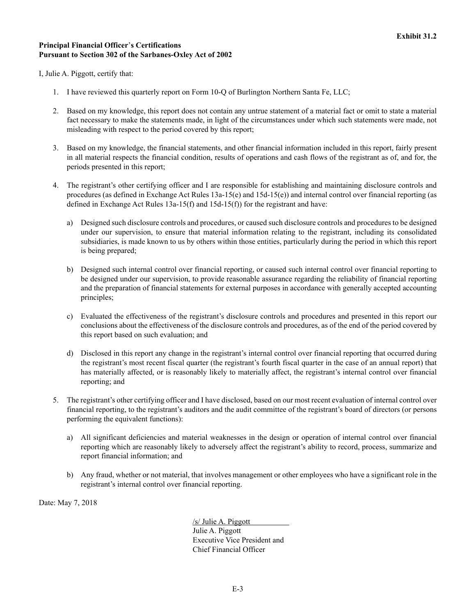# <span id="page-27-0"></span>**Principal Financial Officer**'**s Certifications Pursuant to Section 302 of the Sarbanes-Oxley Act of 2002**

I, Julie A. Piggott, certify that:

- 1. I have reviewed this quarterly report on Form 10-Q of Burlington Northern Santa Fe, LLC;
- 2. Based on my knowledge, this report does not contain any untrue statement of a material fact or omit to state a material fact necessary to make the statements made, in light of the circumstances under which such statements were made, not misleading with respect to the period covered by this report;
- 3. Based on my knowledge, the financial statements, and other financial information included in this report, fairly present in all material respects the financial condition, results of operations and cash flows of the registrant as of, and for, the periods presented in this report;
- 4. The registrant's other certifying officer and I are responsible for establishing and maintaining disclosure controls and procedures (as defined in Exchange Act Rules 13a-15(e) and 15d-15(e)) and internal control over financial reporting (as defined in Exchange Act Rules 13a-15(f) and 15d-15(f)) for the registrant and have:
	- a) Designed such disclosure controls and procedures, or caused such disclosure controls and procedures to be designed under our supervision, to ensure that material information relating to the registrant, including its consolidated subsidiaries, is made known to us by others within those entities, particularly during the period in which this report is being prepared;
	- b) Designed such internal control over financial reporting, or caused such internal control over financial reporting to be designed under our supervision, to provide reasonable assurance regarding the reliability of financial reporting and the preparation of financial statements for external purposes in accordance with generally accepted accounting principles;
	- c) Evaluated the effectiveness of the registrant's disclosure controls and procedures and presented in this report our conclusions about the effectiveness of the disclosure controls and procedures, as of the end of the period covered by this report based on such evaluation; and
	- d) Disclosed in this report any change in the registrant's internal control over financial reporting that occurred during the registrant's most recent fiscal quarter (the registrant's fourth fiscal quarter in the case of an annual report) that has materially affected, or is reasonably likely to materially affect, the registrant's internal control over financial reporting; and
- 5. The registrant's other certifying officer and I have disclosed, based on our most recent evaluation of internal control over financial reporting, to the registrant's auditors and the audit committee of the registrant's board of directors (or persons performing the equivalent functions):
	- a) All significant deficiencies and material weaknesses in the design or operation of internal control over financial reporting which are reasonably likely to adversely affect the registrant's ability to record, process, summarize and report financial information; and
	- b) Any fraud, whether or not material, that involves management or other employees who have a significant role in the registrant's internal control over financial reporting.

Date: May 7, 2018

/s/ Julie A. Piggott Julie A. Piggott Executive Vice President and Chief Financial Officer